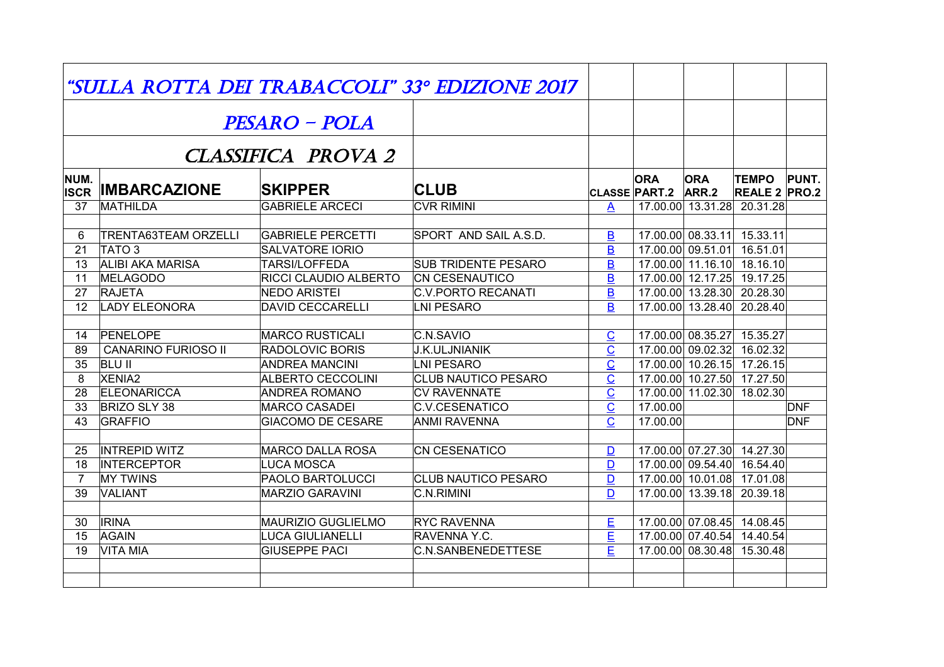| "SULLA ROTTA DEI TRABACCOLI" 33º EDIZIONE 2017 |                                       |                                                     |                                             |                                                       |                                    |                                                          |                                      |              |  |  |  |  |
|------------------------------------------------|---------------------------------------|-----------------------------------------------------|---------------------------------------------|-------------------------------------------------------|------------------------------------|----------------------------------------------------------|--------------------------------------|--------------|--|--|--|--|
|                                                |                                       | <b>PESARO – POLA</b>                                |                                             |                                                       |                                    |                                                          |                                      |              |  |  |  |  |
| <b>CLASSIFICA PROVA 2</b>                      |                                       |                                                     |                                             |                                                       |                                    |                                                          |                                      |              |  |  |  |  |
| NUM.<br><b>ISCR</b>                            | <b>IMBARCAZIONE</b>                   | <b>SKIPPER</b>                                      | <b>CLUB</b>                                 |                                                       | <b>ORA</b><br><b>CLASSE PART.2</b> | <b>ORA</b><br>ARR.2                                      | <b>TEMPO</b><br><b>REALE 2 PRO.2</b> | <b>PUNT.</b> |  |  |  |  |
| 37                                             | <b>MATHILDA</b>                       | <b>GABRIELE ARCECI</b>                              | <b>CVR RIMINI</b>                           | $\mathsf{A}$                                          |                                    | 17.00.00 13.31.28 20.31.28                               |                                      |              |  |  |  |  |
|                                                |                                       |                                                     |                                             |                                                       |                                    |                                                          |                                      |              |  |  |  |  |
| 6                                              | <b>TRENTA63TEAM ORZELLI</b>           | <b>GABRIELE PERCETTI</b>                            | SPORT AND SAIL A.S.D.                       | $\overline{\mathbf{B}}$                               |                                    | 17.00.00 08.33.11 15.33.11                               |                                      |              |  |  |  |  |
| 21                                             | TATO <sub>3</sub><br>ALIBI AKA MARISA | <b>SALVATORE IORIO</b>                              |                                             | $\overline{B}$                                        |                                    | 17.00.00 09.51.01 16.51.01                               |                                      |              |  |  |  |  |
| 13                                             |                                       | <b>TARSI/LOFFEDA</b>                                | <b>SUB TRIDENTE PESARO</b>                  | $\overline{B}$                                        |                                    | 17.00.00 11.16.10 18.16.10                               |                                      |              |  |  |  |  |
| 11<br>27                                       | MELAGODO<br><b>RAJETA</b>             | <b>RICCI CLAUDIO ALBERTO</b><br><b>NEDO ARISTEI</b> | <b>CN CESENAUTICO</b><br>C.V.PORTO RECANATI | $\overline{B}$<br>$\overline{B}$                      |                                    | 17.00.00 12.17.25 19.17.25<br>17.00.00 13.28.30 20.28.30 |                                      |              |  |  |  |  |
| 12                                             | <b>LADY ELEONORA</b>                  | <b>DAVID CECCARELLI</b>                             | LNI PESARO                                  | B                                                     |                                    | 17.00.00 13.28.40 20.28.40                               |                                      |              |  |  |  |  |
|                                                |                                       |                                                     |                                             |                                                       |                                    |                                                          |                                      |              |  |  |  |  |
| 14                                             | PENELOPE                              | <b>MARCO RUSTICALI</b>                              | C.N.SAVIO                                   |                                                       |                                    | 17.00.00 08.35.27 15.35.27                               |                                      |              |  |  |  |  |
| 89                                             | <b>CANARINO FURIOSO II</b>            | <b>RADOLOVIC BORIS</b>                              | <b>J.K.ULJNIANIK</b>                        | $\overline{C}$<br>$\overline{\underline{\mathsf{C}}}$ |                                    | 17.00.00 09.02.32 16.02.32                               |                                      |              |  |  |  |  |
| $\overline{35}$                                | <b>BLU II</b>                         | <b>ANDREA MANCINI</b>                               | LNI PESARO                                  | $\overline{\underline{\mathsf{C}}}$                   |                                    | 17.00.00 10.26.15 17.26.15                               |                                      |              |  |  |  |  |
| 8                                              | XENIA <sub>2</sub>                    | <b>ALBERTO CECCOLINI</b>                            | <b>CLUB NAUTICO PESARO</b>                  | $\overline{C}$                                        |                                    | 17.00.00 10.27.50 17.27.50                               |                                      |              |  |  |  |  |
| 28                                             | <b>ELEONARICCA</b>                    | <b>ANDREA ROMANO</b>                                | <b>CV RAVENNATE</b>                         | $\overline{\mathsf{C}}$                               |                                    | 17.00.00 11.02.30 18.02.30                               |                                      |              |  |  |  |  |
| 33                                             | BRIZO SLY 38                          | MARCO CASADEI                                       | C.V.CESENATICO                              |                                                       | 17.00.00                           |                                                          |                                      | DNF          |  |  |  |  |
| 43                                             | <b>GRAFFIO</b>                        | <b>GIACOMO DE CESARE</b>                            | <b>ANMI RAVENNA</b>                         | $\underline{\mathsf{C}}$<br>Ć                         | 17.00.00                           |                                                          |                                      | DNF          |  |  |  |  |
|                                                |                                       |                                                     |                                             |                                                       |                                    |                                                          |                                      |              |  |  |  |  |
| 25                                             | <b>INTREPID WITZ</b>                  | <b>MARCO DALLA ROSA</b>                             | CN CESENATICO                               | $\mathbf{D}$                                          |                                    | 17.00.00 07.27.30 14.27.30                               |                                      |              |  |  |  |  |
| 18                                             | <b>INTERCEPTOR</b>                    | <b>LUCA MOSCA</b>                                   |                                             | D                                                     |                                    | 17.00.00 09.54.40 16.54.40                               |                                      |              |  |  |  |  |
| $\overline{7}$                                 | <b>MY TWINS</b>                       | <b>PAOLO BARTOLUCCI</b>                             | <b>CLUB NAUTICO PESARO</b>                  | $\mathbf{D}$                                          |                                    | 17.00.00 10.01.08 17.01.08                               |                                      |              |  |  |  |  |
| 39                                             | VALIANT                               | MARZIO GARAVINI                                     | C.N.RIMINI                                  | D                                                     |                                    | 17.00.00 13.39.18 20.39.18                               |                                      |              |  |  |  |  |
|                                                |                                       |                                                     |                                             |                                                       |                                    |                                                          |                                      |              |  |  |  |  |
| 30                                             | <b>IRINA</b>                          | MAURIZIO GUGLIELMO                                  | <b>RYC RAVENNA</b>                          | E                                                     |                                    | 17.00.00 07.08.45 14.08.45                               |                                      |              |  |  |  |  |
| 15                                             | AGAIN                                 | LUCA GIULIANELLI                                    | RAVENNA Y.C.                                | $\mathsf{E}% _{T}$                                    |                                    | 17.00.00 07.40.54 14.40.54                               |                                      |              |  |  |  |  |
| 19                                             | VITA MIA                              | <b>GIUSEPPE PACI</b>                                | C.N.SANBENEDETTESE                          | E                                                     |                                    | 17.00.00 08.30.48 15.30.48                               |                                      |              |  |  |  |  |
|                                                |                                       |                                                     |                                             |                                                       |                                    |                                                          |                                      |              |  |  |  |  |
|                                                |                                       |                                                     |                                             |                                                       |                                    |                                                          |                                      |              |  |  |  |  |